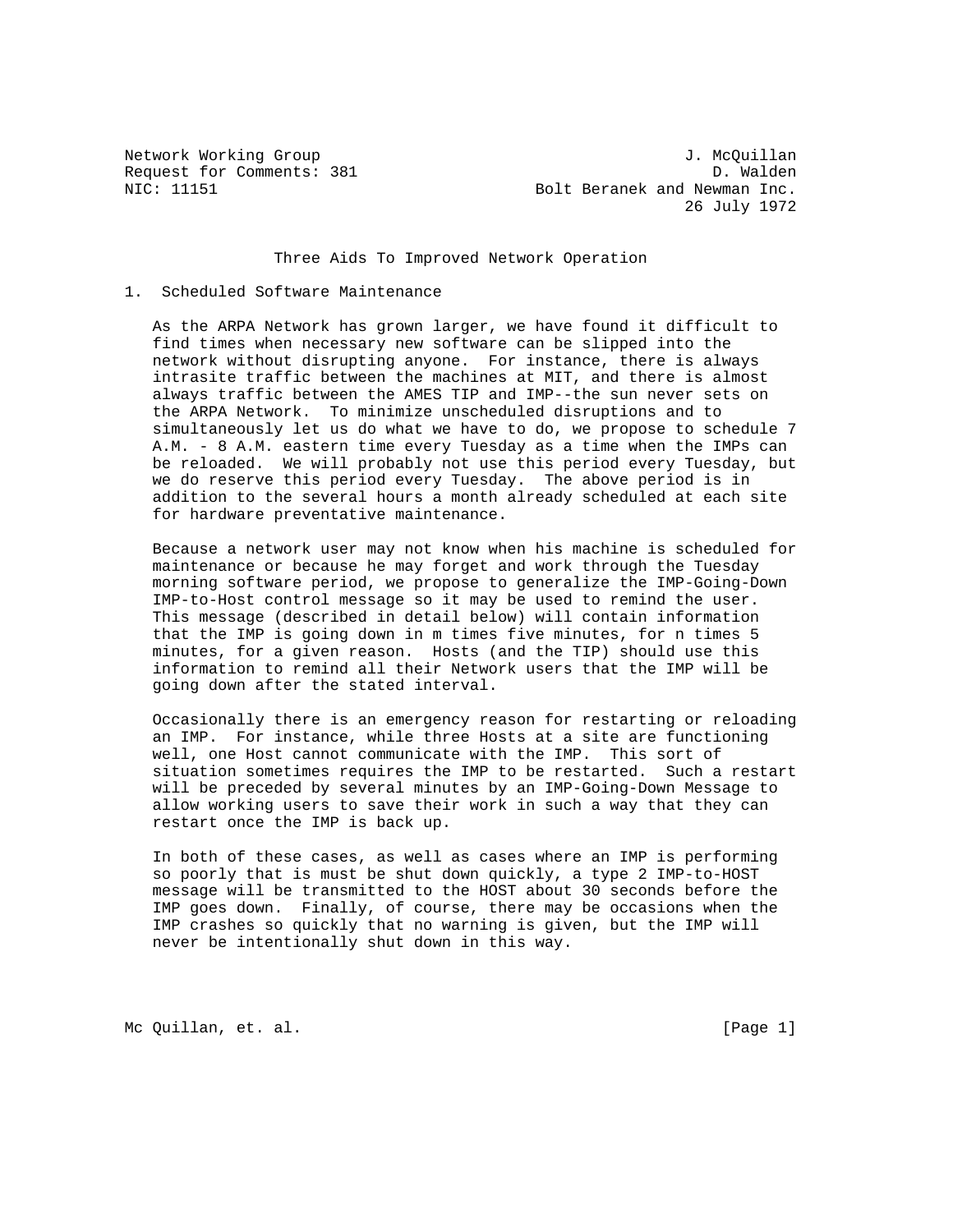Network Working Group J. McQuillan Request for Comments: 381 D. Walden<br>NIC: 11151 D. Walden Bolt Beranek and Newman Inc. 26 July 1972

## Three Aids To Improved Network Operation

## 1. Scheduled Software Maintenance

 As the ARPA Network has grown larger, we have found it difficult to find times when necessary new software can be slipped into the network without disrupting anyone. For instance, there is always intrasite traffic between the machines at MIT, and there is almost always traffic between the AMES TIP and IMP--the sun never sets on the ARPA Network. To minimize unscheduled disruptions and to simultaneously let us do what we have to do, we propose to schedule 7 A.M. - 8 A.M. eastern time every Tuesday as a time when the IMPs can be reloaded. We will probably not use this period every Tuesday, but we do reserve this period every Tuesday. The above period is in addition to the several hours a month already scheduled at each site for hardware preventative maintenance.

 Because a network user may not know when his machine is scheduled for maintenance or because he may forget and work through the Tuesday morning software period, we propose to generalize the IMP-Going-Down IMP-to-Host control message so it may be used to remind the user. This message (described in detail below) will contain information that the IMP is going down in m times five minutes, for n times 5 minutes, for a given reason. Hosts (and the TIP) should use this information to remind all their Network users that the IMP will be going down after the stated interval.

 Occasionally there is an emergency reason for restarting or reloading an IMP. For instance, while three Hosts at a site are functioning well, one Host cannot communicate with the IMP. This sort of situation sometimes requires the IMP to be restarted. Such a restart will be preceded by several minutes by an IMP-Going-Down Message to allow working users to save their work in such a way that they can restart once the IMP is back up.

 In both of these cases, as well as cases where an IMP is performing so poorly that is must be shut down quickly, a type 2 IMP-to-HOST message will be transmitted to the HOST about 30 seconds before the IMP goes down. Finally, of course, there may be occasions when the IMP crashes so quickly that no warning is given, but the IMP will never be intentionally shut down in this way.

Mc Quillan, et. al. [Page 1]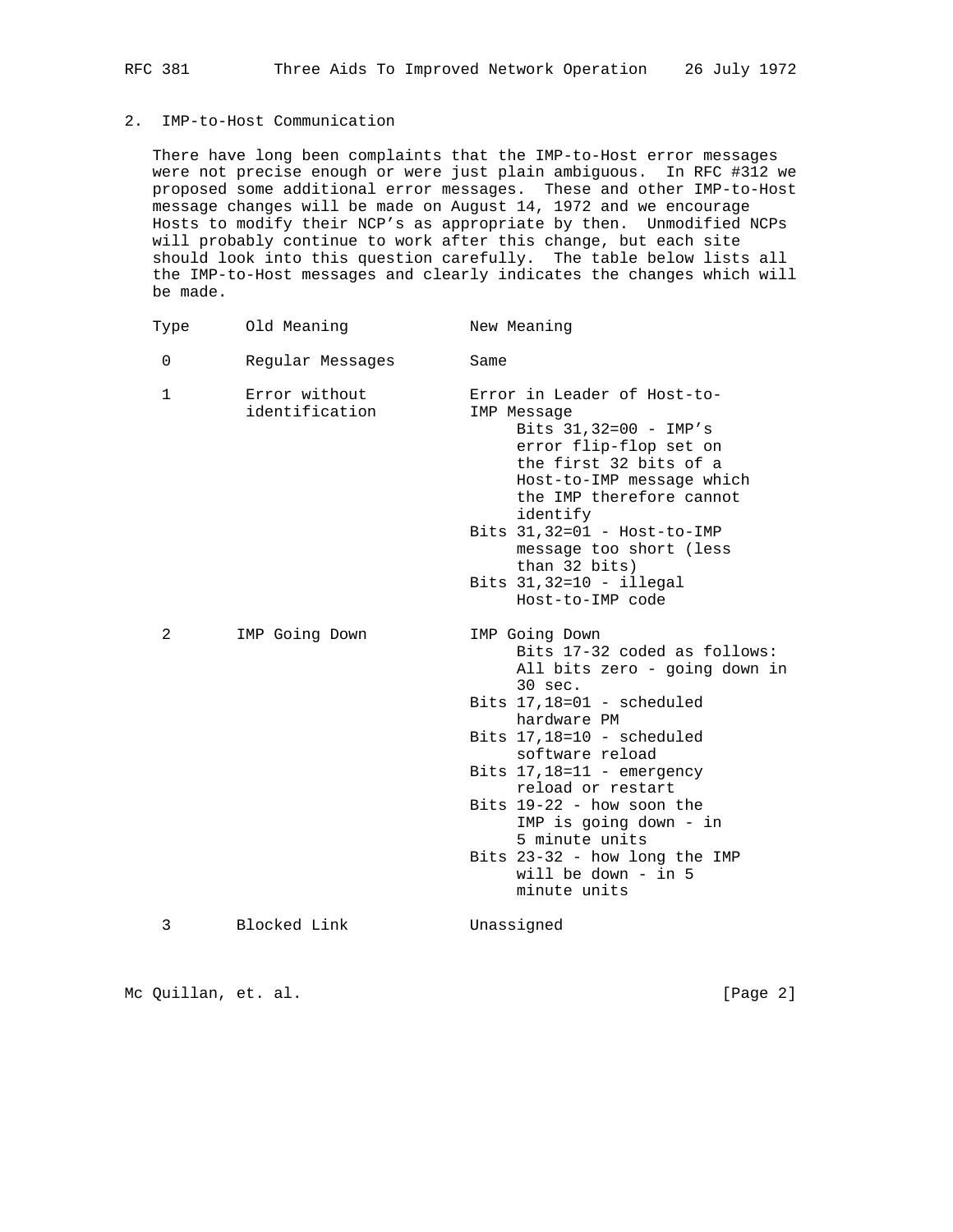## 2. IMP-to-Host Communication

 There have long been complaints that the IMP-to-Host error messages were not precise enough or were just plain ambiguous. In RFC #312 we proposed some additional error messages. These and other IMP-to-Host message changes will be made on August 14, 1972 and we encourage Hosts to modify their NCP's as appropriate by then. Unmodified NCPs will probably continue to work after this change, but each site should look into this question carefully. The table below lists all the IMP-to-Host messages and clearly indicates the changes which will be made.

| Type         | Old Meaning                     | New Meaning                                                                                                                                                                                                                     |
|--------------|---------------------------------|---------------------------------------------------------------------------------------------------------------------------------------------------------------------------------------------------------------------------------|
| $\Omega$     | Regular Messages                | Same                                                                                                                                                                                                                            |
| $\mathbf{1}$ | Error without<br>identification | Error in Leader of Host-to-<br>IMP Message<br>Bits $31,32=00 - IMP's$<br>error flip-flop set on<br>the first 32 bits of a<br>Host-to-IMP message which<br>the IMP therefore cannot<br>identify<br>Bits $31,32=01$ - Host-to-IMP |
|              |                                 | message too short (less<br>than 32 bits)<br>Bits $31,32=10 - i1legal$<br>Host-to-IMP code                                                                                                                                       |
| 2            | IMP Going Down                  | IMP Going Down<br>Bits 17-32 coded as follows:<br>All bits zero - going down in<br>$30 \text{ sec.}$                                                                                                                            |
|              |                                 | Bits $17,18=01$ - scheduled<br>hardware PM                                                                                                                                                                                      |
|              |                                 | Bits $17,18=10$ - scheduled<br>software reload                                                                                                                                                                                  |
|              |                                 | Bits $17,18=11$ - emergency<br>reload or restart                                                                                                                                                                                |
|              |                                 | Bits $19-22$ - how soon the<br>IMP is going down - in<br>5 minute units                                                                                                                                                         |
|              |                                 | Bits 23-32 - how long the IMP<br>will be down $-$ in 5<br>minute units                                                                                                                                                          |
| 3            | Blocked Link                    | Unassigned                                                                                                                                                                                                                      |
|              |                                 |                                                                                                                                                                                                                                 |

Mc Quillan, et. al. [Page 2]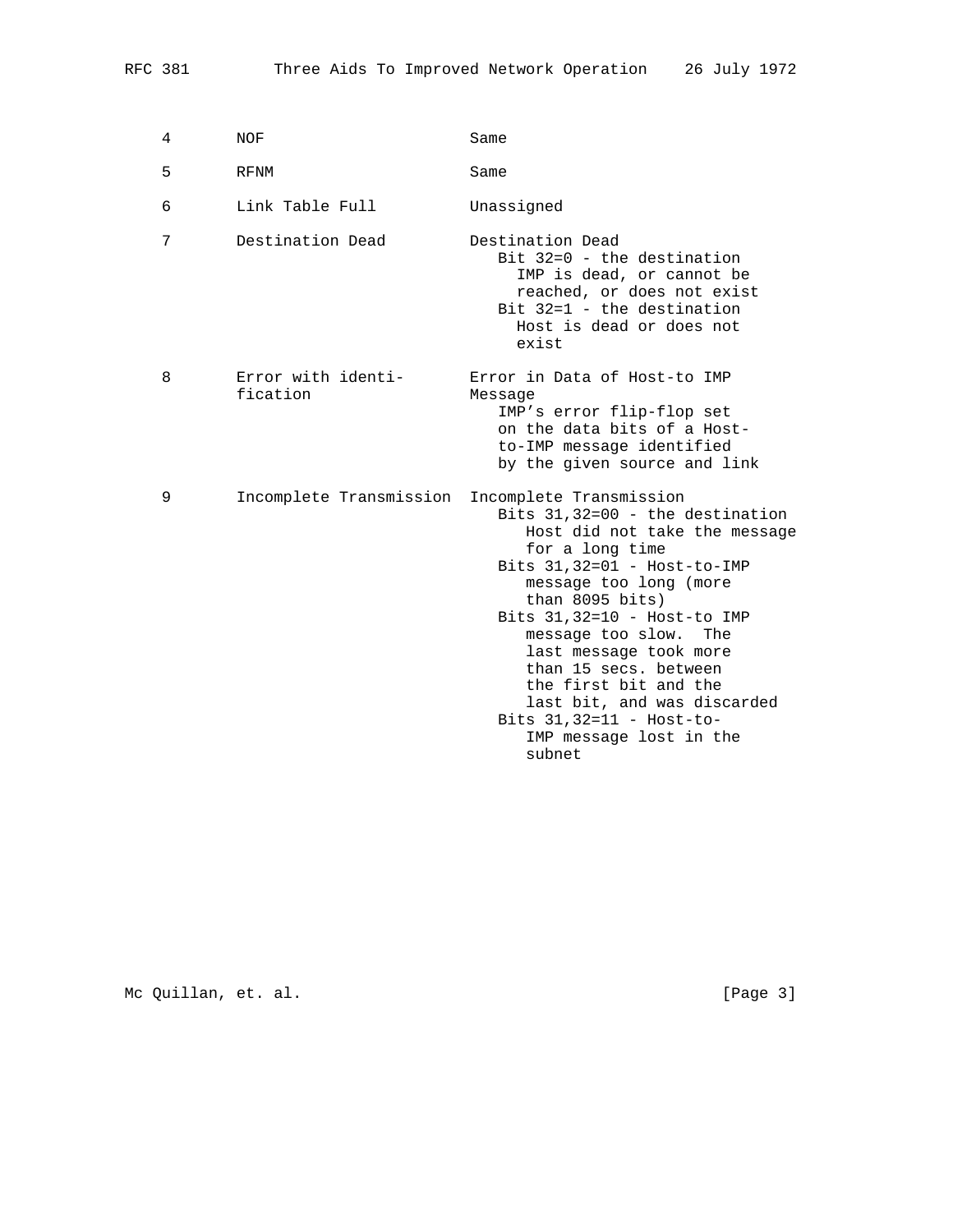| 4 | NOF                            | Same                                                                                                                                                                                                                                                                                                                                                                                                                                        |
|---|--------------------------------|---------------------------------------------------------------------------------------------------------------------------------------------------------------------------------------------------------------------------------------------------------------------------------------------------------------------------------------------------------------------------------------------------------------------------------------------|
| 5 | <b>RFNM</b>                    | Same                                                                                                                                                                                                                                                                                                                                                                                                                                        |
| 6 | Link Table Full                | Unassigned                                                                                                                                                                                                                                                                                                                                                                                                                                  |
| 7 | Destination Dead               | Destination Dead<br>$Bit 32=0 - the destination$<br>IMP is dead, or cannot be<br>reached, or does not exist<br>Bit $32=1$ - the destination<br>Host is dead or does not<br>exist                                                                                                                                                                                                                                                            |
| 8 | Error with identi-<br>fication | Error in Data of Host-to IMP<br>Message<br>IMP's error flip-flop set<br>on the data bits of a Host-<br>to-IMP message identified<br>by the given source and link                                                                                                                                                                                                                                                                            |
| 9 | Incomplete Transmission        | Incomplete Transmission<br>Bits $31,32=00$ - the destination<br>Host did not take the message<br>for a long time<br>Bits $31,32=01$ - Host-to-IMP<br>message too long (more<br>than $8095$ bits)<br>Bits $31,32=10$ - Host-to IMP<br>message too slow.<br>The<br>last message took more<br>than 15 secs. between<br>the first bit and the<br>last bit, and was discarded<br>Bits $31,32=11$ - Host-to-<br>IMP message lost in the<br>subnet |